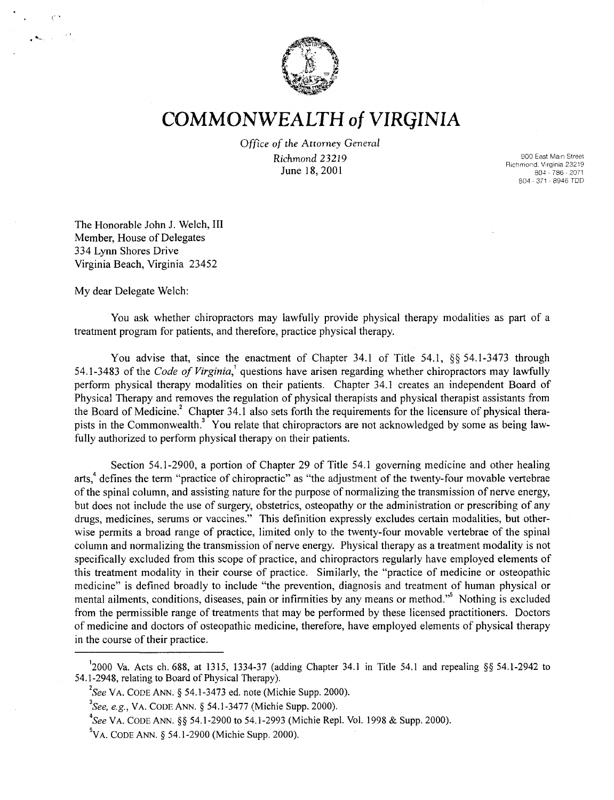

## **COMMONWEALTH of VIRGINIA**

*Office* of *the Attorney General Richmond 23219*  June 18,2001

900 East Main Street Richmond. Virginia 23219 804 - 786 - 2071 804 - 371 - 8946 TOO

The Honorable John J. Welch, III Member, House of Delegates 334 Lynn Shores Drive Virginia Beach, Virginia 23452

My dear Delegate Welch:

," .

You ask whether chiropractors may lawfully provide physical therapy modalities as part of a treatment program for patients, and therefore, practice physical therapy.

You advise that, since the enactment of Chapter 34.1 of Title 54.1, §§ 54.1-3473 through 54.1-3483 of the *Code of Virginia*,<sup>1</sup> questions have arisen regarding whether chiropractors may lawfully perform physical therapy modalities on their patients. Chapter 34.1 creates an independent Board of Physical Therapy and removes the regulation of physical therapists and physical therapist assistants from the Board of Medicine.<sup>2</sup> Chapter 34.1 also sets forth the requirements for the licensure of physical therapists in the Commonwealth.<sup>3</sup> You relate that chiropractors are not acknowledged by some as being lawfully authorized to perform physical therapy on their patients.

Section 54.1-2900, a portion of Chapter 29 of Title 54.1 governing medicine and other healing arts,<sup>4</sup> defines the term "practice of chiropractic" as "the adjustment of the twenty-four movable vertebrae of the spinal column, and assisting nature for the purpose of normalizing the transmission of nerve energy, but does not include the use of surgery, obstetrics, osteopathy or the administration or prescribing of any drugs, medicines, serums or vaccines." This definition expressly excludes certain modalities, but otherwise permits a broad range of practice, limited only to the twenty-four movable vertebrae of the spinal column and normalizing the transmission of nerve energy. Physical therapy as a treatment modality is not specifically excluded from this scope of practice, and chiropractors regularly have employed elements of this treatment modality in their course of practice. Similarly, the "practice of medicine or osteopathic medicine" is defined broadly to include "the prevention, diagnosis and treatment of human physical or mental ailments, conditions, diseases, pain or infirmities by any means or method."<sup>5</sup> Nothing is excluded from the permissible range of treatments that may be performed by these licensed practitioners. Doctors of medicine and doctors of osteopathic medicine, therefore, have employed elements of physical therapy in the course of their practice.

<sup>&</sup>lt;sup>1</sup>2000 Va. Acts ch. 688, at 1315, 1334-37 (adding Chapter 34.1 in Title 54.1 and repealing §§ 54.1-2942 to 54.1-2948, relating to Board of Physical Therapy).

 $2<sup>2</sup>$ See VA. CODE ANN. § 54.1-3473 ed. note (Michie Supp. 2000).

*<sup>3</sup>See, e.g.,* YA. CODE ANN. § 54.1-3477 (Michie Supp. 2000).

*<sup>4</sup>See* Y A. CODE ANN. §§ 54.1-2900 to 54.1-2993 (Michie Rep!. Yo!. 1998 & Supp. 2000).

 $5$ VA. CODE ANN. § 54.1-2900 (Michie Supp. 2000).